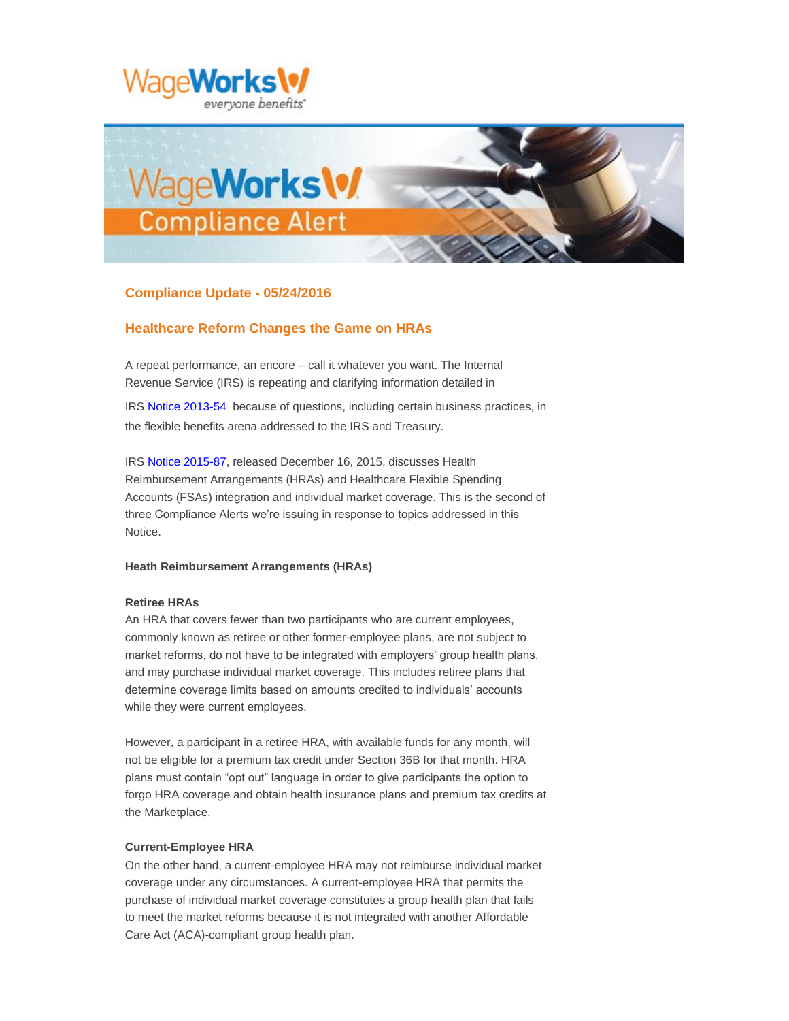



# **Compliance Update - 05/24/2016**

# **Healthcare Reform Changes the Game on HRAs**

A repeat performance, an encore – call it whatever you want. The Internal Revenue Service (IRS) is repeating and clarifying information detailed in

IRS [Notice 2013-54](https://www.irs.gov/pub/irs-drop/n-13-54.pdf?elqTrackId=E908B49AF80351F73C3A1198BCF7C07B&elq=6f2b6a75e4594fe48ff421ebeb9953b8&elqaid=561&elqat=1&elqCampaignId=) because of questions, including certain business practices, in the flexible benefits arena addressed to the IRS and Treasury.

IRS [Notice 2015-87,](https://www.irs.gov/pub/irs-drop/n-15-87.pdf?elqTrackId=7E5DB0D3169DA8E4E653052FACCF3DF4&elq=6f2b6a75e4594fe48ff421ebeb9953b8&elqaid=561&elqat=1&elqCampaignId=) released December 16, 2015, discusses Health Reimbursement Arrangements (HRAs) and Healthcare Flexible Spending Accounts (FSAs) integration and individual market coverage. This is the second of three Compliance Alerts we're issuing in response to topics addressed in this Notice.

# **Heath Reimbursement Arrangements (HRAs)**

# **Retiree HRAs**

An HRA that covers fewer than two participants who are current employees, commonly known as retiree or other former-employee plans, are not subject to market reforms, do not have to be integrated with employers' group health plans, and may purchase individual market coverage. This includes retiree plans that determine coverage limits based on amounts credited to individuals' accounts while they were current employees.

However, a participant in a retiree HRA, with available funds for any month, will not be eligible for a premium tax credit under Section 36B for that month. HRA plans must contain "opt out" language in order to give participants the option to forgo HRA coverage and obtain health insurance plans and premium tax credits at the Marketplace.

# **Current-Employee HRA**

On the other hand, a current-employee HRA may not reimburse individual market coverage under any circumstances. A current-employee HRA that permits the purchase of individual market coverage constitutes a group health plan that fails to meet the market reforms because it is not integrated with another Affordable Care Act (ACA)-compliant group health plan.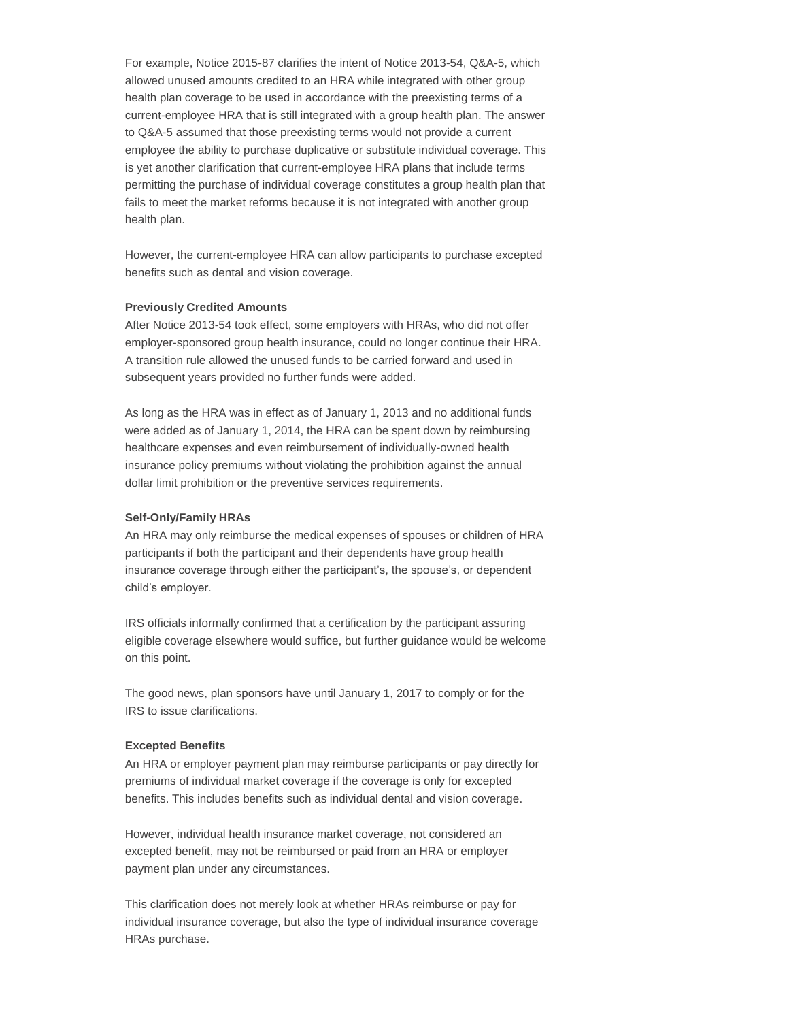For example, Notice 2015-87 clarifies the intent of Notice 2013-54, Q&A-5, which allowed unused amounts credited to an HRA while integrated with other group health plan coverage to be used in accordance with the preexisting terms of a current-employee HRA that is still integrated with a group health plan. The answer to Q&A-5 assumed that those preexisting terms would not provide a current employee the ability to purchase duplicative or substitute individual coverage. This is yet another clarification that current-employee HRA plans that include terms permitting the purchase of individual coverage constitutes a group health plan that fails to meet the market reforms because it is not integrated with another group health plan.

However, the current-employee HRA can allow participants to purchase excepted benefits such as dental and vision coverage.

#### **Previously Credited Amounts**

After Notice 2013-54 took effect, some employers with HRAs, who did not offer employer-sponsored group health insurance, could no longer continue their HRA. A transition rule allowed the unused funds to be carried forward and used in subsequent years provided no further funds were added.

As long as the HRA was in effect as of January 1, 2013 and no additional funds were added as of January 1, 2014, the HRA can be spent down by reimbursing healthcare expenses and even reimbursement of individually-owned health insurance policy premiums without violating the prohibition against the annual dollar limit prohibition or the preventive services requirements.

### **Self-Only/Family HRAs**

An HRA may only reimburse the medical expenses of spouses or children of HRA participants if both the participant and their dependents have group health insurance coverage through either the participant's, the spouse's, or dependent child's employer.

IRS officials informally confirmed that a certification by the participant assuring eligible coverage elsewhere would suffice, but further guidance would be welcome on this point.

The good news, plan sponsors have until January 1, 2017 to comply or for the IRS to issue clarifications.

#### **Excepted Benefits**

An HRA or employer payment plan may reimburse participants or pay directly for premiums of individual market coverage if the coverage is only for excepted benefits. This includes benefits such as individual dental and vision coverage.

However, individual health insurance market coverage, not considered an excepted benefit, may not be reimbursed or paid from an HRA or employer payment plan under any circumstances.

This clarification does not merely look at whether HRAs reimburse or pay for individual insurance coverage, but also the type of individual insurance coverage HRAs purchase.